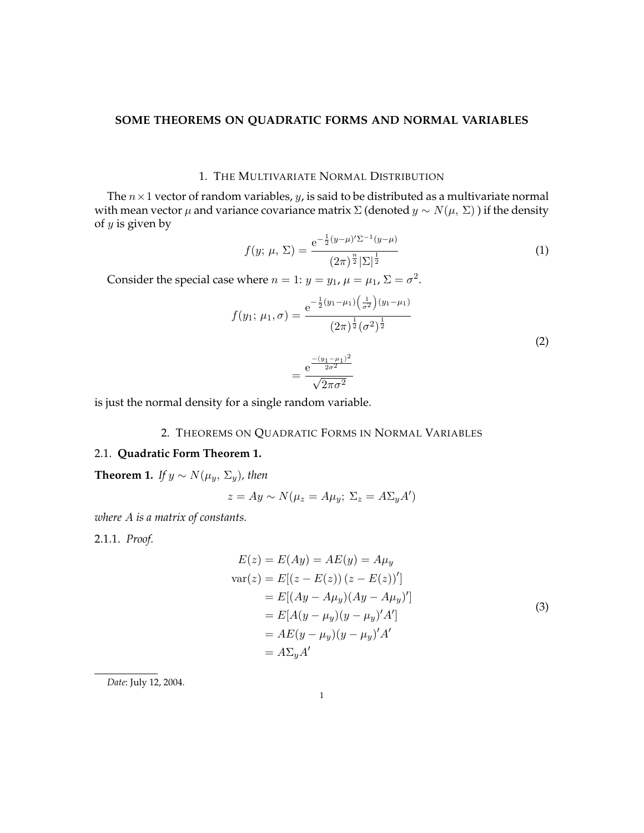### **SOME THEOREMS ON QUADRATIC FORMS AND NORMAL VARIABLES**

## 1. THE MULTIVARIATE NORMAL DISTRIBUTION

The  $n \times 1$  vector of random variables, y, is said to be distributed as a multivariate normal with mean vector  $\mu$  and variance covariance matrix  $\Sigma$  (denoted  $y \sim N(\mu, \Sigma)$ ) if the density of  $y$  is given by

$$
f(y; \mu, \Sigma) = \frac{e^{-\frac{1}{2}(y-\mu)'\Sigma^{-1}(y-\mu)}}{(2\pi)^{\frac{n}{2}}|\Sigma|^{\frac{1}{2}}}
$$
(1)

Consider the special case where  $n = 1$ :  $y = y_1$ ,  $\mu = \mu_1$ ,  $\Sigma = \sigma^2$ .

$$
f(y_1; \mu_1, \sigma) = \frac{e^{-\frac{1}{2}(y_1 - \mu_1)\left(\frac{1}{\sigma^2}\right)(y_1 - \mu_1)}}{(2\pi)^{\frac{1}{2}}(\sigma^2)^{\frac{1}{2}}}
$$
(2)

$$
=\frac{\mathrm{e}^{\frac{-(y_1-\mu_1)^2}{2\sigma^2}}}{\sqrt{2\pi\sigma^2}}
$$

is just the normal density for a single random variable.

## 2. THEOREMS ON QUADRATIC FORMS IN NORMAL VARIABLES

## 2.1. **Quadratic Form Theorem 1.**

<span id="page-0-0"></span>**Theorem 1.** *If*  $y \sim N(\mu_y, \Sigma_y)$ *, then* 

$$
z = Ay \sim N(\mu_z = A\mu_y; \ \Sigma_z = A\Sigma_y A')
$$

*where* A *is a matrix of constants.*

2.1.1. *Proof.*

$$
E(z) = E(Ay) = AE(y) = A\mu_y
$$
  
\n
$$
var(z) = E[(z - E(z))(z - E(z))']
$$
  
\n
$$
= E[(Ay - A\mu_y)(Ay - A\mu_y)']
$$
  
\n
$$
= E[A(y - \mu_y)(y - \mu_y)'A']
$$
  
\n
$$
= AE(y - \mu_y)(y - \mu_y)'A'
$$
  
\n
$$
= A\Sigma_y A'
$$
\n(3)

*Date*: July 12, 2004.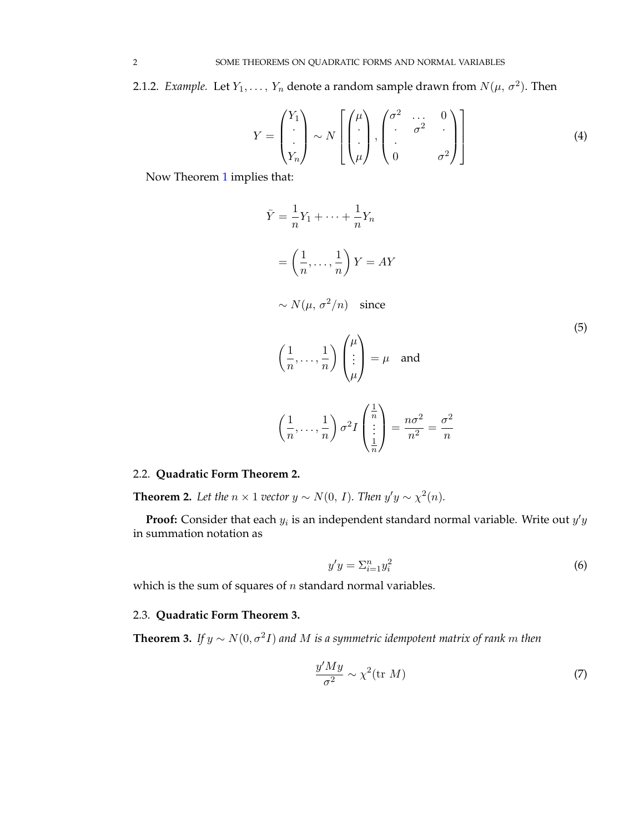2.1.2. *Example*. Let  $Y_1, \ldots, Y_n$  denote a random sample drawn from  $N(\mu, \sigma^2)$ . Then

$$
Y = \begin{pmatrix} Y_1 \\ \vdots \\ Y_n \end{pmatrix} \sim N \left[ \begin{pmatrix} \mu \\ \vdots \\ \mu \end{pmatrix}, \begin{pmatrix} \sigma^2 & \dots & 0 \\ \vdots & \sigma^2 & \vdots \\ 0 & & \sigma^2 \end{pmatrix} \right]
$$
(4)

Now Theorem [1](#page-0-0) implies that:

$$
\bar{Y} = \frac{1}{n}Y_1 + \dots + \frac{1}{n}Y_n
$$
\n
$$
= \left(\frac{1}{n}, \dots, \frac{1}{n}\right)Y = AY
$$
\n
$$
\sim N(\mu, \sigma^2/n) \quad \text{since}
$$
\n
$$
\left(\frac{1}{n}, \dots, \frac{1}{n}\right) \begin{pmatrix} \mu \\ \vdots \\ \mu \end{pmatrix} = \mu \quad \text{and}
$$
\n
$$
\left(\frac{1}{n}, \dots, \frac{1}{n}\right) \sigma^2 I \begin{pmatrix} \frac{1}{n} \\ \vdots \\ \frac{1}{n} \end{pmatrix} = \frac{n\sigma^2}{n^2} = \frac{\sigma^2}{n}
$$
\n(5)

# 2.2. **Quadratic Form Theorem 2.**

**Theorem 2.** Let the  $n \times 1$  vector  $y \sim N(0, I)$ . Then  $y'y \sim \chi^2(n)$ .

**Proof:** Consider that each  $y_i$  is an independent standard normal variable. Write out  $y'y$ in summation notation as

$$
y'y = \sum_{i=1}^{n} y_i^2 \tag{6}
$$

which is the sum of squares of  $n$  standard normal variables.

## 2.3. **Quadratic Form Theorem 3.**

<span id="page-1-0"></span>**Theorem 3.** If  $y \sim N(0, \sigma^2 I)$  and M is a symmetric idempotent matrix of rank m then

$$
\frac{y'My}{\sigma^2} \sim \chi^2(\text{tr } M) \tag{7}
$$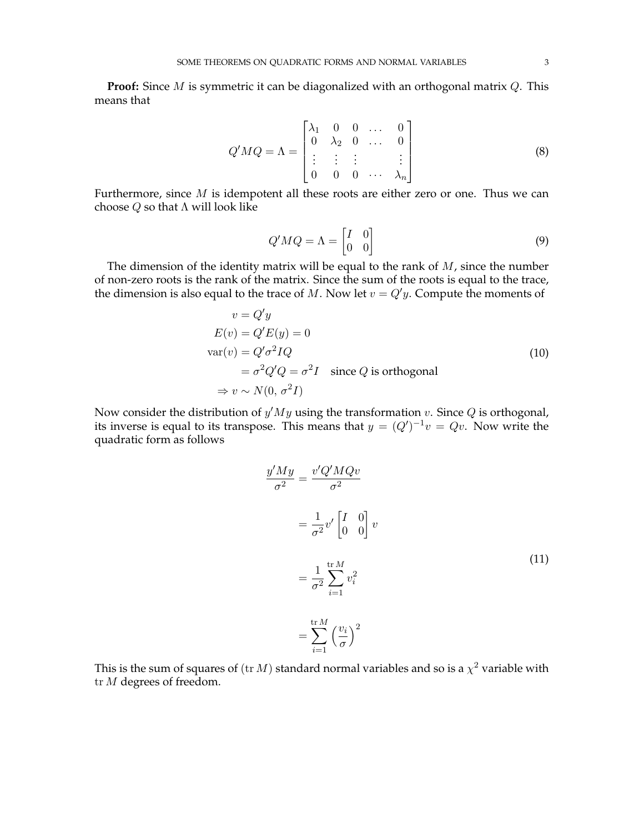**Proof:** Since *M* is symmetric it can be diagonalized with an orthogonal matrix *Q*. This means that

$$
Q'MQ = \Lambda = \begin{bmatrix} \lambda_1 & 0 & 0 & \dots & 0 \\ 0 & \lambda_2 & 0 & \dots & 0 \\ \vdots & \vdots & \vdots & & \vdots \\ 0 & 0 & 0 & \dots & \lambda_n \end{bmatrix}
$$
 (8)

Furthermore, since  $M$  is idempotent all these roots are either zero or one. Thus we can choose  $Q$  so that  $\Lambda$  will look like

$$
Q'MQ = \Lambda = \begin{bmatrix} I & 0 \\ 0 & 0 \end{bmatrix}
$$
 (9)

The dimension of the identity matrix will be equal to the rank of  $M$ , since the number of non-zero roots is the rank of the matrix. Since the sum of the roots is equal to the trace, the dimension is also equal to the trace of  $M$ . Now let  $v = Q'y$ . Compute the moments of

$$
v = Q'y
$$
  
\n
$$
E(v) = Q'E(y) = 0
$$
  
\n
$$
var(v) = Q'\sigma^2 IQ
$$
  
\n
$$
= \sigma^2 Q'Q = \sigma^2 I \text{ since } Q \text{ is orthogonal}
$$
  
\n
$$
\Rightarrow v \sim N(0, \sigma^2 I)
$$
\n(10)

Now consider the distribution of  $y'My$  using the transformation v. Since Q is orthogonal, its inverse is equal to its transpose. This means that  $y = (Q')^{-1}v = Qv$ . Now write the quadratic form as follows

$$
\frac{y'My}{\sigma^2} = \frac{v'Q'MQv}{\sigma^2}
$$

$$
= \frac{1}{\sigma^2}v'\begin{bmatrix} I & 0\\ 0 & 0 \end{bmatrix}v
$$

$$
= \frac{1}{\sigma^2}\sum_{i=1}^{\text{tr }M}v_i^2
$$

$$
= \sum_{i=1}^{\text{tr }M} \left(\frac{v_i}{\sigma}\right)^2
$$
 (11)

This is the sum of squares of  $({\rm tr}\, M)$  standard normal variables and so is a  $\chi^2$  variable with tr M degrees of freedom.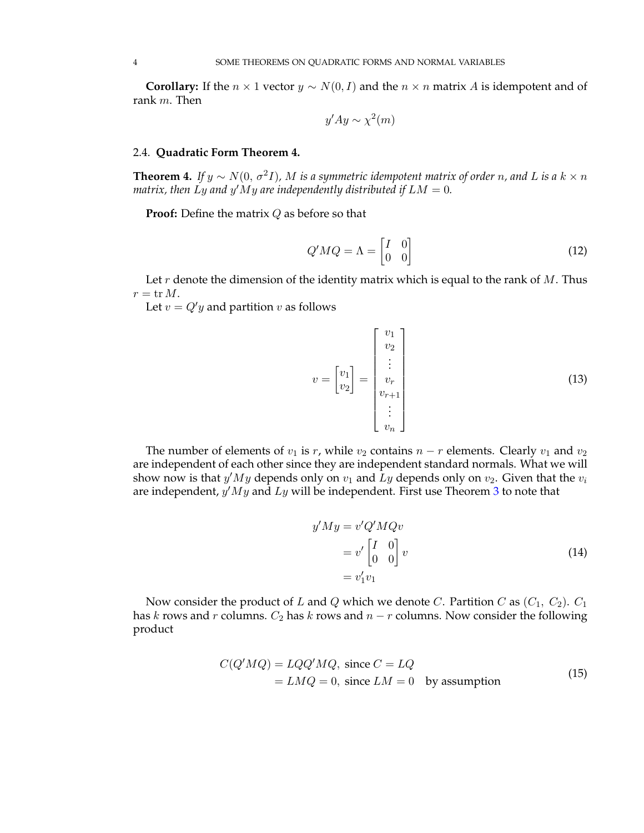**Corollary:** If the  $n \times 1$  vector  $y \sim N(0, I)$  and the  $n \times n$  matrix A is idempotent and of rank  $m$ . Then

$$
y'Ay \sim \chi^2(m)
$$

#### 2.4. **Quadratic Form Theorem 4.**

**Theorem 4.** If  $y \sim N(0, \sigma^2 I)$ , M is a symmetric idempotent matrix of order n, and L is a  $k \times n$ matrix, then  $Ly$  and  $y'My$  are independently distributed if  $LM = 0$ .

**Proof:** Define the matrix Q as before so that

$$
Q'MQ = \Lambda = \begin{bmatrix} I & 0 \\ 0 & 0 \end{bmatrix}
$$
 (12)

Let r denote the dimension of the identity matrix which is equal to the rank of  $M$ . Thus  $r = \text{tr } M.$ 

Let  $v = Q'y$  and partition v as follows

$$
v = \begin{bmatrix} v_1 \\ v_2 \\ \vdots \\ v_r \\ v_{r+1} \\ \vdots \\ v_n \end{bmatrix}
$$
 (13)

The number of elements of  $v_1$  is r, while  $v_2$  contains  $n - r$  elements. Clearly  $v_1$  and  $v_2$ are independent of each other since they are independent standard normals. What we will show now is that  $y'My$  depends only on  $v_1$  and  $\tilde{L}y$  depends only on  $v_2$ . Given that the  $v_i$ are independent,  $y'My$  and  $Ly$  will be independent. First use Theorem [3](#page-1-0) to note that

$$
y'My = v'Q'MQv
$$
  
=  $v' \begin{bmatrix} I & 0 \\ 0 & 0 \end{bmatrix} v$   
=  $v'_1 v_1$  (14)

Now consider the product of L and Q which we denote C. Partition C as  $(C_1, C_2)$ .  $C_1$ has k rows and r columns.  $C_2$  has k rows and  $n - r$  columns. Now consider the following product

$$
C(Q'MQ) = LQQ'MQ, \text{ since } C = LQ
$$
  
=  $LMQ = 0$ , since  $LM = 0$  by assumption (15)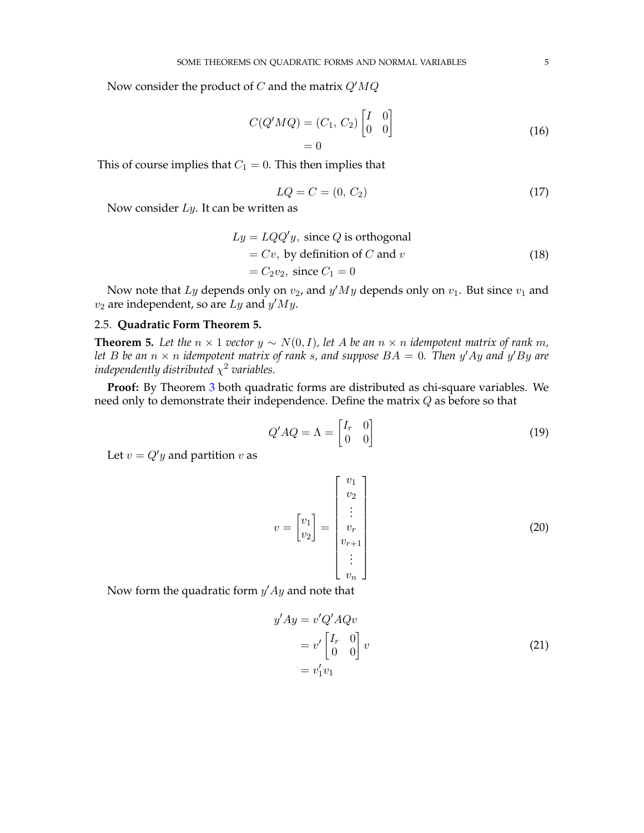Now consider the product of C and the matrix  $Q'MQ$ 

$$
C(Q'MQ) = (C_1, C_2) \begin{bmatrix} I & 0 \\ 0 & 0 \end{bmatrix}
$$

$$
= 0
$$
 (16)

This of course implies that  $C_1 = 0$ . This then implies that

$$
LQ = C = (0, C_2)
$$
 (17)

Now consider  $Ly$ . It can be written as

$$
Ly = LQQ'y, \text{ since } Q \text{ is orthogonal}
$$
  
= Cv, by definition of C and v  
= C<sub>2</sub>v<sub>2</sub>, since C<sub>1</sub> = 0 (18)

Now note that  $Ly$  depends only on  $v_2$ , and  $y'My$  depends only on  $v_1$ . But since  $v_1$  and  $v_2$  are independent, so are Ly and  $y'My$ .

#### 2.5. **Quadratic Form Theorem 5.**

<span id="page-4-0"></span>**Theorem 5.** Let the  $n \times 1$  *vector*  $y \sim N(0, I)$ , let A be an  $n \times n$  *idempotent matrix of rank* m, let B be an  $n \times n$  idempotent matrix of rank s, and suppose  $BA = 0$ . Then  $y'Ay$  and  $y'By$  are independently distributed  $\chi^2$  variables.

**Proof:** By Theorem [3](#page-1-0) both quadratic forms are distributed as chi-square variables. We need only to demonstrate their independence. Define the matrix Q as before so that

$$
Q'AQ = \Lambda = \begin{bmatrix} I_r & 0 \\ 0 & 0 \end{bmatrix} \tag{19}
$$

Let  $v = Q'y$  and partition v as

$$
v = \begin{bmatrix} v_1 \\ v_2 \\ v_3 \end{bmatrix} = \begin{bmatrix} v_1 \\ v_2 \\ v_r \\ v_{r+1} \\ \vdots \\ v_n \end{bmatrix}
$$
 (20)

Now form the quadratic form  $y'Ay$  and note that

$$
y'Ay = v'Q'AQv
$$
  
=  $v' \begin{bmatrix} I_r & 0 \\ 0 & 0 \end{bmatrix} v$   
=  $v'_1v_1$  (21)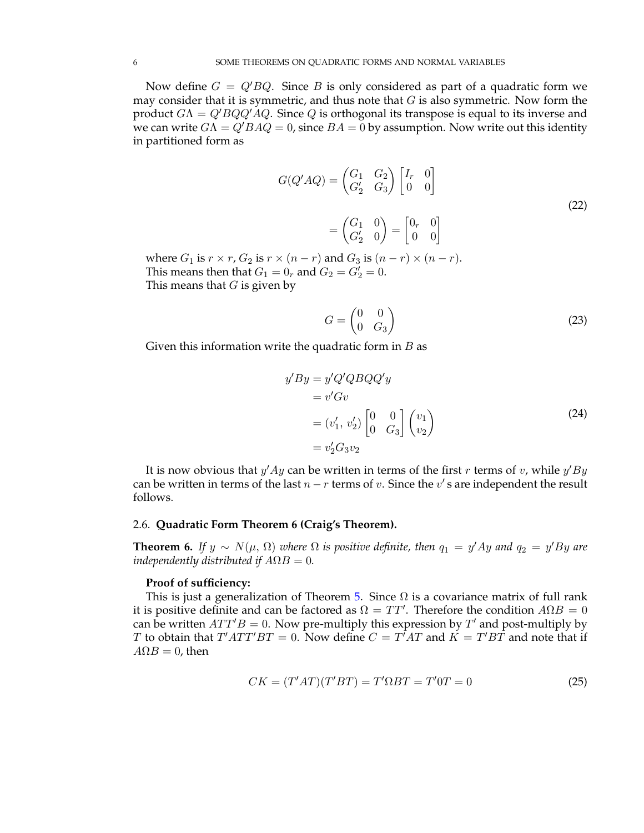Now define  $G = Q'BQ$ . Since B is only considered as part of a quadratic form we may consider that it is symmetric, and thus note that  $G$  is also symmetric. Now form the product  $G\Lambda = Q'BQQ'AQ$ . Since Q is orthogonal its transpose is equal to its inverse and we can write  $G\Lambda = Q'BAQ = 0$ , since  $BA = 0$  by assumption. Now write out this identity in partitioned form as

$$
G(Q'AQ) = \begin{pmatrix} G_1 & G_2 \\ G'_2 & G_3 \end{pmatrix} \begin{bmatrix} I_r & 0 \\ 0 & 0 \end{bmatrix}
$$

$$
= \begin{pmatrix} G_1 & 0 \\ G'_2 & 0 \end{pmatrix} = \begin{bmatrix} 0_r & 0 \\ 0 & 0 \end{bmatrix}
$$

$$
\times (r - r) \text{ and } G_2 \text{ is } (r - r) \times (r - r)
$$
 (22)

where  $G_1$  is  $r \times r$ ,  $G_2$  is  $r \times (n-r)$  and  $G_3$  is  $(n-r) \times (n-r)$ . This means then that  $G_1 = 0_r$  and  $G_2 = G_2' = 0$ . This means that  $G$  is given by

$$
G = \begin{pmatrix} 0 & 0 \\ 0 & G_3 \end{pmatrix} \tag{23}
$$

Given this information write the quadratic form in  $B$  as

$$
y'By = y'Q'QBQQ'y
$$
  
= v'Gv  
= (v'<sub>1</sub>, v'<sub>2</sub>)  $\begin{bmatrix} 0 & 0 \\ 0 & G_3 \end{bmatrix}$   $\begin{pmatrix} v_1 \\ v_2 \end{pmatrix}$   
= v'<sub>2</sub>G<sub>3</sub>v<sub>2</sub> (24)

It is now obvious that  $y'Ay$  can be written in terms of the first r terms of v, while  $y'By$ can be written in terms of the last  $n-r$  terms of v. Since the  $v'$  s are independent the result follows.

#### 2.6. **Quadratic Form Theorem 6 (Craig's Theorem).**

**Theorem 6.** If  $y \sim N(\mu, \Omega)$  where  $\Omega$  is positive definite, then  $q_1 = y'Ay$  and  $q_2 = y'By$  are *independently distributed if*  $A\Omega B = 0$ *.* 

### **Proof of sufficiency:**

This is just a generalization of Theorem [5.](#page-4-0) Since  $\Omega$  is a covariance matrix of full rank it is positive definite and can be factored as  $\Omega = TT'$ . Therefore the condition  $A\Omega B = 0$ can be written  $ATT'B = 0$ . Now pre-multiply this expression by T' and post-multiply by T to obtain that  $T'ATT'BT = 0$ . Now define  $C = T^TAT$  and  $K = T'BT$  and note that if  $A\Omega B = 0$ , then

$$
CK = (T'AT)(T'BT) = T'\Omega BT = T'0T = 0
$$
\n
$$
(25)
$$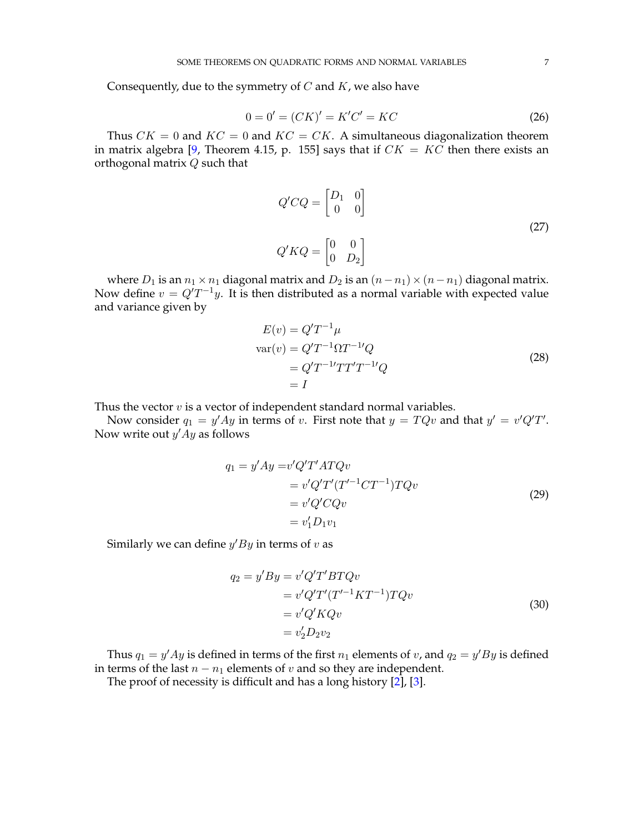Consequently, due to the symmetry of  $C$  and  $K$ , we also have

$$
0 = 0' = (CK)' = K'C' = KC \tag{26}
$$

Thus  $CK = 0$  and  $KC = 0$  and  $KC = CK$ . A simultaneous diagonalization theorem in matrix algebra [\[9,](#page-10-0) Theorem 4.15, p. 155] says that if  $CK = KC$  then there exists an orthogonal matrix Q such that

$$
Q'CQ = \begin{bmatrix} D_1 & 0 \\ 0 & 0 \end{bmatrix}
$$
  

$$
Q'KQ = \begin{bmatrix} 0 & 0 \\ 0 & D_2 \end{bmatrix}
$$
 (27)

where  $D_1$  is an  $n_1 \times n_1$  diagonal matrix and  $D_2$  is an  $(n-n_1) \times (n-n_1)$  diagonal matrix. Now define  $v = Q'T^{-1}y$ . It is then distributed as a normal variable with expected value and variance given by

$$
E(v) = Q'T^{-1}\mu
$$
  
\n
$$
var(v) = Q'T^{-1}\Omega T^{-1}Q
$$
  
\n
$$
= Q'T^{-1}TT'T'T^{-1}Q
$$
  
\n
$$
= I
$$
\n(28)

Thus the vector  $v$  is a vector of independent standard normal variables.

Now consider  $q_1 = y'Ay$  in terms of v. First note that  $y = TQv$  and that  $y' = v'Q'T'$ . Now write out  $y'Ay$  as follows

$$
q_1 = y'Ay = v'Q'T'ATQv
$$
  
\n
$$
= v'Q'T'(T'^{-1}CT^{-1})TQv
$$
  
\n
$$
= v'Q'CQv
$$
  
\n
$$
= v'_1D_1v_1
$$
\n(29)

Similarly we can define  $y'By$  in terms of v as

$$
q_2 = y'By = v'Q'T'BTQv
$$
  
=  $v'Q'T'(T'^{-1}KT^{-1})TQv$   
=  $v'Q'KQv$   
=  $v_2'D_2v_2$  (30)

Thus  $q_1 = y'Ay$  is defined in terms of the first  $n_1$  elements of v, and  $q_2 = y'By$  is defined in terms of the last  $n - n_1$  elements of v and so they are independent.

The proof of necessity is difficult and has a long history [\[2\]](#page-10-1), [\[3\]](#page-10-2).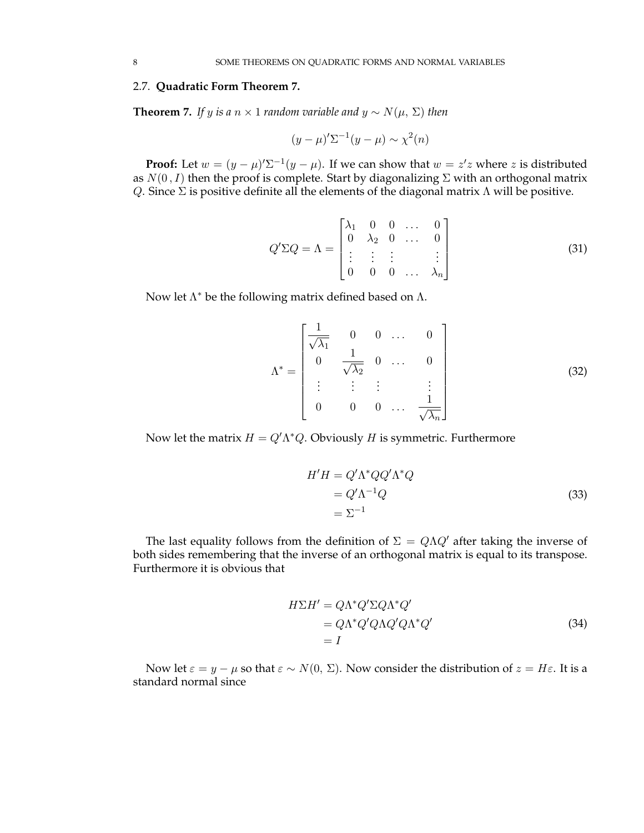# 2.7. **Quadratic Form Theorem 7.**

**Theorem 7.** *If y is a*  $n \times 1$  *random variable and*  $y \sim N(\mu, \Sigma)$  *then* 

$$
(y - \mu)'\Sigma^{-1}(y - \mu) \sim \chi^2(n)
$$

**Proof:** Let  $w = (y - \mu)' \Sigma^{-1} (y - \mu)$ . If we can show that  $w = z'z$  where z is distributed as  $N(0, I)$  then the proof is complete. Start by diagonalizing  $\Sigma$  with an orthogonal matrix Q. Since  $\Sigma$  is positive definite all the elements of the diagonal matrix  $\Lambda$  will be positive.

$$
Q' \Sigma Q = \Lambda = \begin{bmatrix} \lambda_1 & 0 & 0 & \dots & 0 \\ 0 & \lambda_2 & 0 & \dots & 0 \\ \vdots & \vdots & \vdots & & \vdots \\ 0 & 0 & 0 & \dots & \lambda_n \end{bmatrix}
$$
 (31)

Now let  $\Lambda^*$  be the following matrix defined based on  $\Lambda$ .

$$
\Lambda^* = \begin{bmatrix} \frac{1}{\sqrt{\lambda_1}} & 0 & 0 & \dots & 0 \\ 0 & \frac{1}{\sqrt{\lambda_2}} & 0 & \dots & 0 \\ \vdots & \vdots & \vdots & & \vdots \\ 0 & 0 & 0 & \dots & \frac{1}{\sqrt{\lambda_n}} \end{bmatrix}
$$
(32)

Now let the matrix  $H = Q^{\prime} \Lambda^* Q$ . Obviously H is symmetric. Furthermore

$$
H'H = Q'\Lambda^*QQ'\Lambda^*Q
$$
  
=  $Q'\Lambda^{-1}Q$   
=  $\Sigma^{-1}$  (33)

The last equality follows from the definition of  $\Sigma = Q\Lambda Q'$  after taking the inverse of both sides remembering that the inverse of an orthogonal matrix is equal to its transpose. Furthermore it is obvious that

$$
H\Sigma H' = Q\Lambda^* Q' \Sigma Q \Lambda^* Q'
$$
  
=  $Q\Lambda^* Q' Q \Lambda Q' Q \Lambda^* Q'$   
=  $I$  (34)

Now let  $\varepsilon = y - \mu$  so that  $\varepsilon \sim N(0, \Sigma)$ . Now consider the distribution of  $z = H\varepsilon$ . It is a standard normal since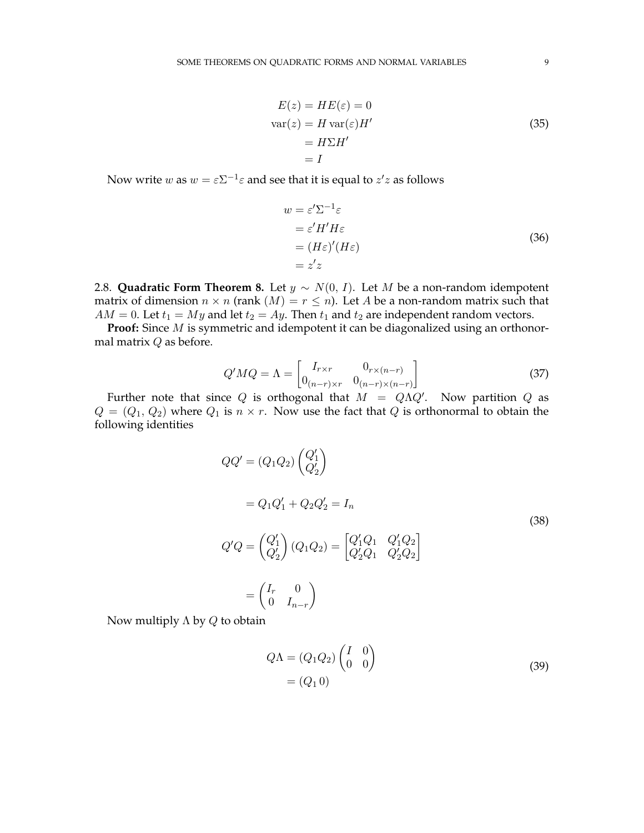$$
E(z) = HE(\varepsilon) = 0
$$
  
\n
$$
var(z) = H var(\varepsilon)H'
$$
  
\n
$$
= H\Sigma H'
$$
  
\n
$$
= I
$$
\n(35)

Now write  $w$  as  $w = \varepsilon \Sigma^{-1} \varepsilon$  and see that it is equal to  $z'z$  as follows

$$
w = \varepsilon' \Sigma^{-1} \varepsilon
$$
  
=  $\varepsilon' H' H \varepsilon$   
=  $(H\varepsilon)' (H\varepsilon)$   
=  $z'z$  (36)

2.8. **Quadratic Form Theorem 8.** Let  $y \sim N(0, I)$ . Let M be a non-random idempotent matrix of dimension  $n \times n$  (rank  $(M) = r \leq n$ ). Let A be a non-random matrix such that  $AM = 0$ . Let  $t_1 = My$  and let  $t_2 = Ay$ . Then  $t_1$  and  $t_2$  are independent random vectors.

**Proof:** Since M is symmetric and idempotent it can be diagonalized using an orthonormal matrix Q as before.

$$
Q'MQ = \Lambda = \begin{bmatrix} I_{r \times r} & 0_{r \times (n-r)} \\ 0_{(n-r) \times r} & 0_{(n-r) \times (n-r)} \end{bmatrix}
$$
(37)

Further note that since Q is orthogonal that  $M = Q\Lambda Q'$ . Now partition Q as  $Q = (Q_1, Q_2)$  where  $Q_1$  is  $n \times r$ . Now use the fact that Q is orthonormal to obtain the following identities

$$
QQ' = (Q_1 Q_2) \begin{pmatrix} Q'_1 \\ Q'_2 \end{pmatrix}
$$
  
=  $Q_1 Q'_1 + Q_2 Q'_2 = I_n$   

$$
Q'Q = \begin{pmatrix} Q'_1 \\ Q'_2 \end{pmatrix} (Q_1 Q_2) = \begin{bmatrix} Q'_1 Q_1 & Q'_1 Q_2 \\ Q'_2 Q_1 & Q'_2 Q_2 \end{bmatrix}
$$
  
=  $\begin{pmatrix} I_r & 0 \\ 0 & I_{n-r} \end{pmatrix}$ 

Now multiply  $\Lambda$  by  $Q$  to obtain

<span id="page-8-0"></span>
$$
Q\Lambda = (Q_1 Q_2) \begin{pmatrix} I & 0 \\ 0 & 0 \end{pmatrix}
$$
  
=  $(Q_1 0)$  (39)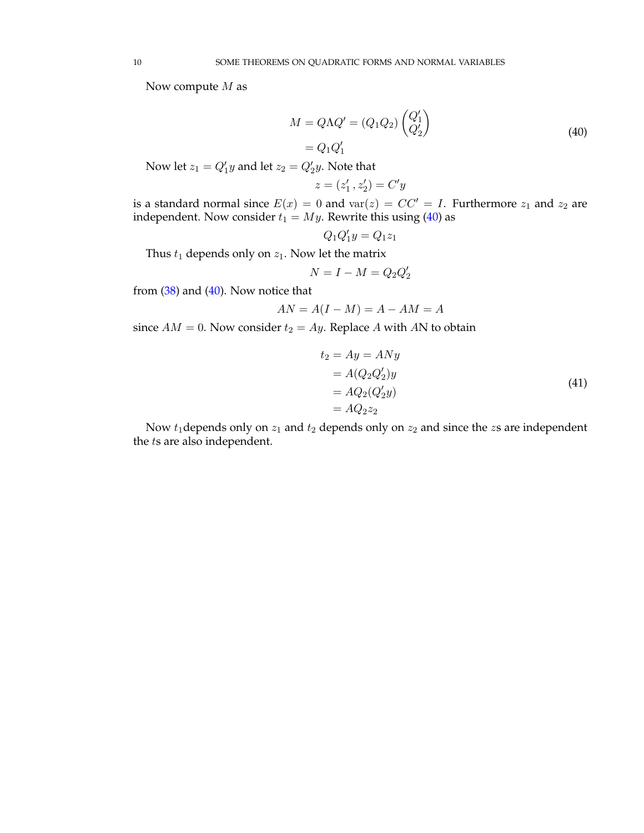<span id="page-9-0"></span>Now compute  $M$  as

$$
M = Q\Lambda Q' = (Q_1 Q_2) \begin{pmatrix} Q'_1 \\ Q'_2 \end{pmatrix}
$$
  
=  $Q_1 Q'_1$  (40)

Now let  $z_1 = Q'_1y$  and let  $z_2 = Q'_2y$ . Note that

$$
z=(z_1^\prime\,,z_2^\prime)=C^\prime y
$$

is a standard normal since  $E(x) = 0$  and  $var(z) = CC' = I$ . Furthermore  $z_1$  and  $z_2$  are independent. Now consider  $t_1 = My$ . Rewrite this using [\(40\)](#page-9-0) as

$$
Q_1 Q_1^\prime y = Q_1 z_1
$$

Thus  $t_1$  depends only on  $z_1$ . Now let the matrix

$$
N = I - M = Q_2 Q_2'
$$

from [\(38\)](#page-8-0) and [\(40\)](#page-9-0). Now notice that

$$
AN = A(I - M) = A - AM = A
$$

since  $AM = 0$ . Now consider  $t_2 = Ay$ . Replace A with AN to obtain

$$
t_2 = Ay = ANy
$$
  
=  $A(Q_2 Q'_2)y$   
=  $AQ_2(Q'_2y)$   
=  $AQ_2z_2$  (41)

Now  $t_1$  depends only on  $z_1$  and  $t_2$  depends only on  $z_2$  and since the  $z_3$  are independent the ts are also independent.